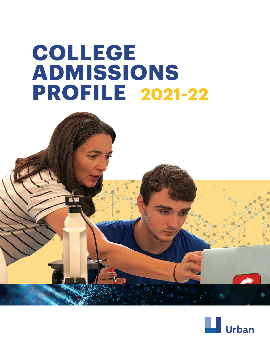# **COLLEGE ADMISSIONS PROFILE 2021-22**

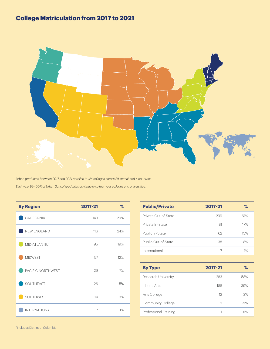## **College Matriculation from 2017 to 2021**



*Urban graduates between 2017 and 2021 enrolled in 124 colleges across 29 states\* and 4 countries. Each year 99-100% of Urban School graduates continue onto four-year colleges and universities.* 

| <b>By Region</b>     | 2017-21        | %   |
|----------------------|----------------|-----|
| CALIFORNIA           | 143            | 29% |
| NEW ENGLAND          | 116            | 24% |
| MID-ATLANTIC         | 95             | 19% |
| <b>MIDWEST</b>       | 57             | 12% |
| PACIFIC NORTHWEST    | 29             | 7%  |
| SOUTHEAST            | 26             | 5%  |
| SOUTHWEST            | 14             | 3%  |
| <b>INTERNATIONAL</b> | $\overline{7}$ | 1%  |

| <b>Public/Private</b> | 2017-21 | ℅     |
|-----------------------|---------|-------|
| Private Out-of-State  | 299     | 61%   |
| Private In-State      | 81      | 17%   |
| Public In-State       | 62      | 13%   |
| Public Out-of-State   | 38      | 8%    |
| International         |         | $1\%$ |

| <b>By Type</b>           | 2017-21 | ℅      |
|--------------------------|---------|--------|
| Research University      | 283     | 58%    |
| Liberal Arts             | 188     | 39%    |
| Arts College             | 12      | 3%     |
| <b>Community College</b> | З       | $<1\%$ |
| Professional Training    |         | <1%    |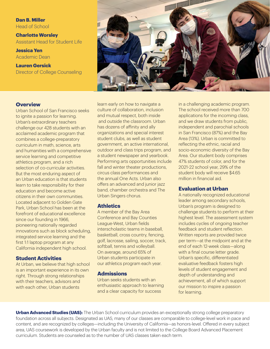**Dan B. Miller** Head of School

**Charlotte Worsley** Assistant Head for Student Life

**Jessica Yen** Academic Dean

**Lauren Gersick** Director of College Counseling



## **Overview**

Urban School of San Francisco seeks to ignite a passion for learning. Urban's extraordinary teachers challenge our 428 students with an acclaimed academic program that combines a college-preparatory curriculum in math, science, arts and humanities with a comprehensive service learning and competitive athletics program, and a rich selection of co-curricular activities. But the most enduring aspect of an Urban education is that students learn to take responsibility for their education and become active citizens in their own communities. Located adjacent to Golden Gate Park, Urban School has been at the forefront of educational excellence since our founding in 1966, pioneering nationally regarded innovations such as block scheduling, integrated service learning and the first 1:1 laptop program at any California independent high school.

## **Student Activities**

At Urban, we believe that high school is an important experience in its own right. Through strong relationships with their teachers, advisors and with each other, Urban students

learn early on how to navigate a culture of collaboration, inclusion and mutual respect, both inside and outside the classroom. Urban has dozens of affinity and ally organizations and special interest student clubs, as well as student government, an active international, outdoor and class trips program, and a student newspaper and yearbook. Performing arts opportunities include fall and winter theater productions, circus class performances and the annual One Acts. Urban also offers an advanced and junior jazz band, chamber orchestra and The Urban Singers chorus.

## **Athletics**

A member of the Bay Area Conference and Bay Counties League-West, Urban fields interscholastic teams in baseball, basketball, cross country, fencing, golf, lacrosse, sailing, soccer, track, softball, tennis and volleyball. On average, around 65% of Urban students participate in our athletics program each year.

## **Admissions**

Urban seeks students with an enthusiastic approach to learning and a clear capacity for success

in a challenging academic program. The school received more than 700 applications for the incoming class, and we draw students from public, independent and parochial schools in San Francisco (87%) and the Bay Area (13%). Urban is committed to reflecting the ethnic, racial and socio-economic diversity of the Bay Area. Our student body comprises 47% students of color, and for the 2021-22 school year, 29% of the student body will receive \$4.65 million in financial aid.

## **Evaluation at Urban**

A nationally recognized educational leader among secondary schools, Urban's program is designed to challenge students to perform at their highest level. The assessment system includes cycles of ongoing teacher feedback and student reflection. Written reports are provided twice per term—at the midpoint and at the end of each 12-week class—along with a final course letter grade. Urban's specific, differentiated evaluative feedback fosters high levels of student engagement and depth of understanding and achievement, all of which support our mission to inspire a passion for learning.

**Urban Advanced Studies (UAS):** The Urban School curriculum provides an exceptionally strong college preparatory foundation across all subjects. Designated as UAS, many of our classes are comparable to college-level work in pace and content, and are recognized by colleges—including the University of California—as honors-level. Offered in every subject area, UAS coursework is developed by the Urban faculty and is not limited to the College Board Advanced Placement curriculum. Students are counseled as to the number of UAS classes taken each term.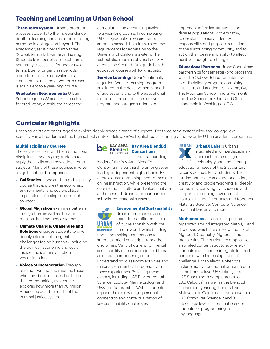## **Teaching and Learning at Urban School**

**Three-term System:** Urban's program exposes students to the independence, depth of learning and academic challenge common in college and beyond. The academic year is divided into three 12-week terms: fall, winter and spring. Students take four classes each term, and many classes last for one or two terms. Due to longer class periods, a one-term class is equivalent to a semester course and a two-term class is equivalent to a year-long course.

**Graduation Requirements: Urban** School requires 22 academic credits for graduation, distributed across the

curriculum. One credit is equivalent to a year-long course. In completing Urban's graduation requirements, students exceed the minimum course requirements for admission to the University of California system. The |school also requires physical activity credits and 9th and 10th grade health education coursework for graduation.

**Service Learning:** Urban's nationally regarded Service Learning program is tailored to the developmental needs of adolescents and to the educational mission of the school. The four-year program encourages students to

approach unfamiliar situations and diverse populations with empathy; to develop a sense of identity, responsibility and purpose in relation to the surrounding community; and to act on their desire and ability to affect positive, thoughtful change.

**Educational Partners:** Urban School has partnerships for semester-long programs with The Oxbow School, an intensive interdisciplinary program combining visual arts and academics in Napa, CA; The Mountain School in rural Vermont; and The School for Ethics and Global Leadership in Washington, D.C.

## **Curricular Highlights**

Urban students are encouraged to explore deeply across a range of subjects. The three-term system allows for college-level specificity in a broader reaching high school context. Below, we've highlighted a sampling of noteworthy Urban academic programs.

#### **Multidisciplinary Courses**

These classes span and blend traditional disciplines, encouraging students to apply their skills and knowledge across subjects. Many of these courses involve a significant field component.

- » **Cal Studies**, a one credit interdisciplinary course that explores the economic, environmental and socio-political implications of a single issue, such as water.
- » **Global Migration** examines patterns in migration, as well as the various reasons that lead people to move.
- » **Climate Change: Challenges and Solutions** engages students to dive deeply into one of the greatest challenges facing humanity, including the political, economic and social justice implications of action versus inaction.
- » **Voices of Incarceration** Through readings, writing and meeting those who have been released back into their communities, this course explores how more than 70 million Americans bear the marks of the criminal justice system.



## **Bay Area BlendEd Consortium**

Urban is a founding leader of the Bay Area BlendEd Consortium, a partnership among seven leading independent high schools. BE offers classes combining face-to-face and online instruction, while preserving the core relational culture and values that are at the heart of Urban's and our partner schools' educational missions.



## **Environmental Sustainability**

Urban offers many classes that address different aspects **URBAN** of our relationship with the

**ENVIRONMENTATE CONTROL MATE IN A DISPONENT MATER** upon and making connections to students' prior knowledge from other disciplines. Many of our environmental sustainability classes include field trips as central components; student understanding, classroom activities and major assessments all proceed from these experiences. By taking these classes, including UAS Environmental Science: Ecology, Marine Biology and UAS The Naturalist as Writer, students expand their knowledge, personal connection and contextualization of key sustainability challenges.



**UrbanX Labs** is Urban's integrated and interdisciplinary approach to the design,

technology and engineering educational needs of the 21st century. UrbanX courses teach students the fundamentals of discovery, innovation, creativity and problem-solving, all deeply rooted in Urban's highly academic and supportive teaching environment. Courses include Electronics and Robotics, Materials Science, Computer Science, Industrial Design and more.

**Mathematics** Urban's math program is organized around integrated Math 1, 2 and 3 courses, which are close to traditional Algebra 1, Geometry, Algebra 2 and precalculus. The curriculum emphasizes a spiraled content structure, whereby students revisit and re-integrate learned concepts with increasing levels of challenge. Urban elective offerings include highly conceptual options, such as the honors-level UAS Infinity and UAS Space (both complements to UAS Calculus), as well as the BlendEd Consortium yearlong, honors-level Multivariable Calculus. Urban's advanced UAS Computer Science 2 and 3 are college level classes that prepare students for programming in any language.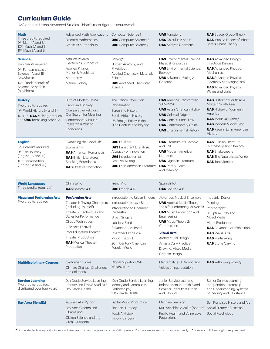## **Curriculum Guide**

UAS denotes Urban Advanced Studies, Urban's most rigorous coursework.

| <b>Math</b><br>Three credits required<br>9 <sup>th</sup> : Math 1A and B <sup>*</sup><br>10 <sup>th</sup> : Math 2A and B<br>11 <sup>th</sup> : Math 3A and B                           | <b>Advanced Math Applications</b><br>Discrete Mathematics<br><b>Statistics &amp; Probability</b>                                                                                                                                                                             | Computer Science 1<br><b>UAS</b> Computer Science 2<br><b>UAS</b> Computer Science 3                                                                                                                                                        | <b>UAS</b> Functions<br><b>UAS</b> Calculus A and B<br><b>UAS</b> Analytic Geometry                                                                                                                                                                                                                              | <b>UAS</b> Space: Group Theory<br><b>UAS</b> Infinity: Theory of Infinite<br>Sets & Chaos Theory                                                                                                                                   |
|-----------------------------------------------------------------------------------------------------------------------------------------------------------------------------------------|------------------------------------------------------------------------------------------------------------------------------------------------------------------------------------------------------------------------------------------------------------------------------|---------------------------------------------------------------------------------------------------------------------------------------------------------------------------------------------------------------------------------------------|------------------------------------------------------------------------------------------------------------------------------------------------------------------------------------------------------------------------------------------------------------------------------------------------------------------|------------------------------------------------------------------------------------------------------------------------------------------------------------------------------------------------------------------------------------|
| <b>Science</b><br>Two credits required<br>9 <sup>th</sup> : Fundamentals of<br>Science 1A and 1B<br>(bio/chem)<br>10 <sup>th</sup> : Fundamentals of<br>Science 2A and 2B<br>(bio/chem) | <b>Applied Physics:</b><br>Electronics & Robotics<br><b>Applied Physics:</b><br>Motion & Machines<br>Astronomy<br>Marine Biology                                                                                                                                             | Geology<br>Human Anatomy and<br>Physiology<br>Applied Chemistry: Materials<br>Science<br><b>UAS</b> Advanced Chemistry<br>A and B                                                                                                           | <b>UAS</b> Environmental Science:<br>Physical Resources<br><b>UAS</b> Environmental Science:<br>Ecology<br><b>UAS</b> Advanced Biology:<br>Genetics                                                                                                                                                              | <b>UAS</b> Advanced Biology:<br><b>Infectious Disease</b><br><b>UAS</b> Advanced Physics:<br>Mechanics<br><b>UAS</b> Advanced Physics:<br>Electricity and Magnetism<br><b>UAS</b> Advanced Physics:<br>Waves and Light             |
| <b>History</b><br>Two credits required<br>9 <sup>th</sup> : World History (A and B)<br>10th/11th: UAS Making America<br>and <b>UAS</b> Remaking America                                 | Birth of Modern China<br>Civics and Society<br>Comparative Religion:<br>Our Search for Meaning<br>Contemporary Issues:<br>Research & Writing<br>Economics                                                                                                                    | The French Revolution<br>Globalization<br><b>Screening History</b><br>South African History<br>US Foreign Policy in the<br>20th Century and Beyond                                                                                          | <b>UAS</b> America Transformed:<br>1865-1929<br><b>UAS</b> Asian American History<br><b>UAS</b> Colonial Origins<br><b>UAS</b> Constitutional Law<br><b>UAS</b> Contemporary China<br><b>UAS</b> Environmental History                                                                                           | <b>UAS</b> History of South Asia:<br>Modern South Asia<br><b>UAS</b> History of Women in<br>America<br><b>UAS</b> Medieval History<br><b>UAS</b> Modern Middle East<br><b>UAS</b> Race in Latin American<br>History                |
| <b>English</b><br>Four credits required<br>9 <sup>th</sup> : The Journey<br>(English 1A and 1B)<br>10 <sup>th</sup> : Composition<br>(English 2A and 2B)                                | Examining the Good Life<br>Journalism+<br><b>UAS</b> American Romanticism<br><b>UAS</b> British Literature:<br><b>Breaking Boundaries</b><br><b>UAS</b> Creative Nonfiction                                                                                                  | <b>UAS</b> Faulkner<br><b>UAS</b> Immigrant Literature:<br>A Legacy of Innovation<br><b>UAS</b> Introduction to<br>Creative Writing<br><b>UAS</b> Latin American Literature                                                                 | <b>UAS</b> Literature of Dystopia<br>and SciFi<br><b>UAS</b> Modern American<br>Literature<br><b>UAS</b> Nigerian Literature<br><b>UAS</b> Poetry: Form<br>and Meaning                                                                                                                                           | <b>UAS</b> Russian Literature:<br>Dostoevsky and Chekhov<br><b>UAS</b> Shakespeare<br><b>UAS</b> The Naturalist as Writer<br><b>UAS</b> Toni Morrison                                                                              |
|                                                                                                                                                                                         |                                                                                                                                                                                                                                                                              |                                                                                                                                                                                                                                             |                                                                                                                                                                                                                                                                                                                  |                                                                                                                                                                                                                                    |
| <b>World Languages</b><br>Three credits required*                                                                                                                                       | Chinese 1-3<br><b>UAS</b> Chinese 4-6                                                                                                                                                                                                                                        | French 1-3<br><b>UAS</b> French 4-6                                                                                                                                                                                                         | Spanish 1-3<br><b>UAS</b> Spanish 4-6                                                                                                                                                                                                                                                                            |                                                                                                                                                                                                                                    |
| <b>Visual and Performing Arts</b><br>Two credits required                                                                                                                               | <b>Performing Arts</b><br>Theater 1: Playing Characters<br>(Including Yourself)<br>Theater 2: Techniques and<br>Styles for Performance<br>Circus Techniques<br>One Acts Festival<br>Peer Education Theater<br>Theater Production<br><b>UAS</b> Musical Theater<br>Production | Introduction to Urban Singers<br>Introduction to Jazz Band<br>Introduction to Chamber<br>Orchestra<br>Urban Singers<br>Lab Jazz Band<br>Advanced Jazz Band<br>Chamber Orchestra<br>Music Theory 1<br>20th Century American<br>Popular Music | Advanced Musical Ensemble<br><b>UAS</b> Applied Music Theory:<br>Tools for Performing Musicians<br><b>UAS</b> Music Production and<br>Engineering<br><b>UAS</b> Music Theory 2:<br>Composition<br><b>Visual Arts</b><br>Architectural Design<br>Art as a Daily Practice<br>Drawing/Mixed Media<br>Graphic Design | <b>Industrial Design</b><br>Painting<br>Photography<br>Sculpture: Clay and<br>Mixed Media<br>Video Production<br><b>UAS</b> Advanced Art Exhibition<br><b>UAS</b> Media Arts<br><b>UAS</b> Printmaking<br><b>UAS</b> Stone Carving |
| <b>Multidisciplinary Courses</b>                                                                                                                                                        | California Studies<br>Climate Change: Challenges<br>and Solutions                                                                                                                                                                                                            | Global Migration: Who,<br>Where, Why                                                                                                                                                                                                        | Mathematics of Democracy<br>Voices of Incarceration                                                                                                                                                                                                                                                              | <b>UAS</b> Rethinking Poverty                                                                                                                                                                                                      |
| <b>Service Learning</b><br>Two credits required,<br>distributed over four years                                                                                                         | 9th Grade Service Learning:<br>Identity and Ethnic Studies /<br>9th Grade Health                                                                                                                                                                                             | 10th Grade Service Learning:<br>Identity and Community<br>Partnerships /<br>10th Grade Health                                                                                                                                               | Junior Service Learning<br>Independent Internship and<br>Seminar: Identity at Urban<br>and Beyond                                                                                                                                                                                                                | Senior Service Learning:<br>Independent Internship<br>and Understanding Systems<br>of Inequity and Resistance                                                                                                                      |

**\*** Some students may test into second year math or language as incoming 9th graders. Courses are subject to change annually. **<sup>+</sup>** Does not fulfill an English requirement

Great Outdoors